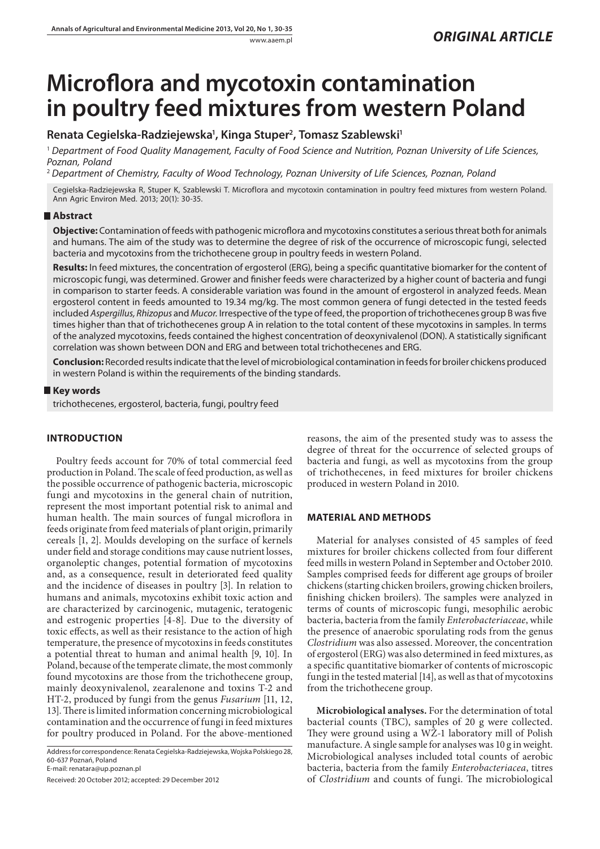# **Microflora and mycotoxin contamination in poultry feed mixtures from western Poland**

# **Renata Cegielska-Radziejewska1 , Kinga Stuper2 , Tomasz Szablewski1**

<sup>1</sup> *Department of Food Quality Management, Faculty of Food Science and Nutrition, Poznan University of Life Sciences, Poznan, Poland*

<sup>2</sup> *Department of Chemistry, Faculty of Wood Technology, Poznan University of Life Sciences, Poznan, Poland*

Cegielska-Radziejewska R, Stuper K, Szablewski T. Microflora and mycotoxin contamination in poultry feed mixtures from western Poland. Ann Agric Environ Med. 2013; 20(1): 30-35.

## **Abstract**

**Objective:** Contamination of feeds with pathogenic microflora and mycotoxins constitutes a serious threat both for animals and humans. The aim of the study was to determine the degree of risk of the occurrence of microscopic fungi, selected bacteria and mycotoxins from the trichothecene group in poultry feeds in western Poland.

**Results:** In feed mixtures, the concentration of ergosterol (ERG), being a specific quantitative biomarker for the content of microscopic fungi, was determined. Grower and finisher feeds were characterized by a higher count of bacteria and fungi in comparison to starter feeds. A considerable variation was found in the amount of ergosterol in analyzed feeds. Mean ergosterol content in feeds amounted to 19.34 mg/kg. The most common genera of fungi detected in the tested feeds included *Aspergillus, Rhizopus* and *Mucor.* Irrespective of the type of feed, the proportion of trichothecenes group B was five times higher than that of trichothecenes group A in relation to the total content of these mycotoxins in samples. In terms of the analyzed mycotoxins, feeds contained the highest concentration of deoxynivalenol (DON). A statistically significant correlation was shown between DON and ERG and between total trichothecenes and ERG.

**Conclusion:** Recorded results indicate that the level of microbiological contamination in feeds for broiler chickens produced in western Poland is within the requirements of the binding standards.

### **Key words**

trichothecenes, ergosterol, bacteria, fungi, poultry feed

# **INTRODUCTION**

Poultry feeds account for 70% of total commercial feed production in Poland. The scale of feed production, as well as the possible occurrence of pathogenic bacteria, microscopic fungi and mycotoxins in the general chain of nutrition, represent the most important potential risk to animal and human health. The main sources of fungal microflora in feeds originate from feed materials of plant origin, primarily cereals [1, 2]. Moulds developing on the surface of kernels under field and storage conditions may cause nutrient losses, organoleptic changes, potential formation of mycotoxins and, as a consequence, result in deteriorated feed quality and the incidence of diseases in poultry [3]. In relation to humans and animals, mycotoxins exhibit toxic action and are characterized by carcinogenic, mutagenic, teratogenic and estrogenic properties [4-8]. Due to the diversity of toxic effects, as well as their resistance to the action of high temperature, the presence of mycotoxins in feeds constitutes a potential threat to human and animal health [9, 10]. In Poland, because of the temperate climate, the most commonly found mycotoxins are those from the trichothecene group, mainly deoxynivalenol, zearalenone and toxins T-2 and HT-2, produced by fungi from the genus *Fusarium* [11, 12, 13]. There is limited information concerning microbiological contamination and the occurrence of fungi in feed mixtures for poultry produced in Poland. For the above-mentioned

Address for correspondence: Renata Cegielska-Radziejewska, Wojska Polskiego 28, 60-637 Poznań, Poland

E-mail: renatara@up.poznan.pl

Received: 20 October 2012; accepted: 29 December 2012

reasons, the aim of the presented study was to assess the degree of threat for the occurrence of selected groups of bacteria and fungi, as well as mycotoxins from the group of trichothecenes, in feed mixtures for broiler chickens produced in western Poland in 2010.

### **Material and Methods**

Material for analyses consisted of 45 samples of feed mixtures for broiler chickens collected from four different feed mills in western Poland in September and October 2010. Samples comprised feeds for different age groups of broiler chickens (starting chicken broilers, growing chicken broilers, finishing chicken broilers). The samples were analyzed in terms of counts of microscopic fungi, mesophilic aerobic bacteria, bacteria from the family *Enterobacteriaceae*, while the presence of anaerobic sporulating rods from the genus *Clostridium* was also assessed. Moreover, the concentration of ergosterol (ERG) was also determined in feed mixtures, as a specific quantitative biomarker of contents of microscopic fungi in the tested material [14], as well as that of mycotoxins from the trichothecene group.

**Microbiological analyses.** For the determination of total bacterial counts (TBC), samples of 20 g were collected. They were ground using a WŻ-1 laboratory mill of Polish manufacture. A single sample for analyses was 10 g in weight. Microbiological analyses included total counts of aerobic bacteria, bacteria from the family *Enterobacteriacea*, titres of *Clostridium* and counts of fungi. The microbiological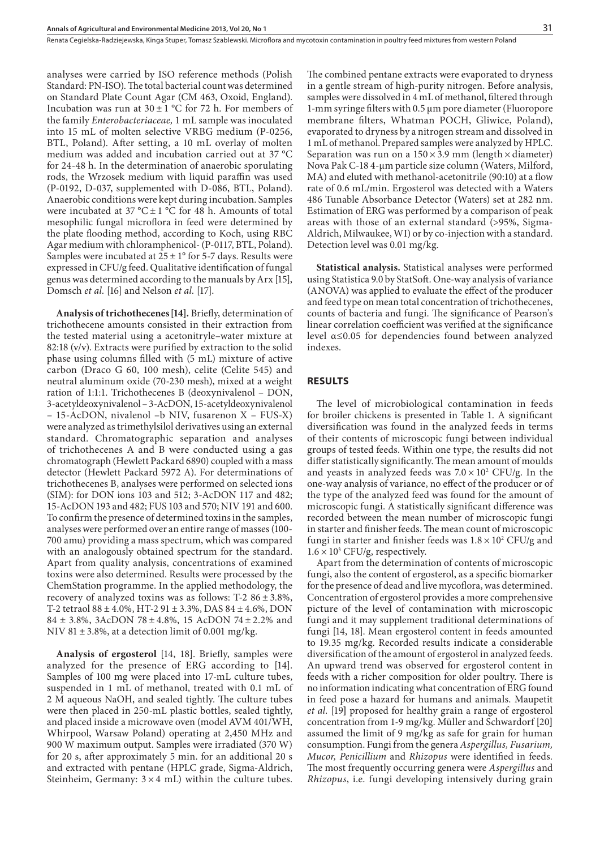analyses were carried by ISO reference methods (Polish Standard: PN-ISO). The total bacterial count was determined on Standard Plate Count Agar (CM 463, Oxoid, England). Incubation was run at  $30 \pm 1$  °C for 72 h. For members of the family *Enterobacteriaceae,* 1 mL sample was inoculated into 15 mL of molten selective VRBG medium (P-0256, BTL, Poland). After setting, a 10 mL overlay of molten medium was added and incubation carried out at 37 °C for 24-48 h. In the determination of anaerobic sporulating rods, the Wrzosek medium with liquid paraffin was used (P-0192, D-037, supplemented with D-086, BTL, Poland). Anaerobic conditions were kept during incubation. Samples were incubated at 37 °C  $\pm$  1 °C for 48 h. Amounts of total mesophilic fungal microflora in feed were determined by the plate flooding method, according to Koch, using RBC Agar medium with chloramphenicol- (P-0117, BTL, Poland). Samples were incubated at  $25 \pm 1^{\circ}$  for 5-7 days. Results were expressed in CFU/g feed. Qualitative identification of fungal genus was determined according to the manuals by Arx [15], Domsch *et al.* [16] and Nelson *et al.* [17].

**Analysis of trichothecenes[14].** Briefly, determination of trichothecene amounts consisted in their extraction from the tested material using a acetonitryle–water mixture at 82:18 (v/v). Extracts were purified by extraction to the solid phase using columns filled with (5 mL) mixture of active carbon (Draco G 60, 100 mesh), celite (Celite 545) and neutral aluminum oxide (70-230 mesh), mixed at a weight ration of 1:1:1. Trichothecenes B (deoxynivalenol – DON, 3-acetyldeoxynivalenol – 3-AcDON, 15-acetyldeoxynivalenol – 15-AcDON, nivalenol –b NIV, fusarenon X – FUS-X) were analyzed as trimethylsilol derivatives using an external standard. Chromatographic separation and analyses of trichothecenes A and B were conducted using a gas chromatograph (Hewlett Packard 6890) coupled with a mass detector (Hewlett Packard 5972 A). For determinations of trichothecenes B, analyses were performed on selected ions (SIM): for DON ions 103 and 512; 3-AcDON 117 and 482; 15-AcDON 193 and 482; FUS 103 and 570; NIV 191 and 600. To confirm the presence of determined toxins in the samples, analyses were performed over an entire range of masses (100- 700 amu) providing a mass spectrum, which was compared with an analogously obtained spectrum for the standard. Apart from quality analysis, concentrations of examined toxins were also determined. Results were processed by the ChemStation programme. In the applied methodology, the recovery of analyzed toxins was as follows: T-2  $86 \pm 3.8\%$ , T-2 tetraol 88 ± 4.0%, HT-2 91 ± 3.3%, DAS 84 ± 4.6%, DON 84 ± 3.8%, 3AcDON 78 ± 4.8%, 15 AcDON 74 ± 2.2% and NIV 81  $\pm$  3.8%, at a detection limit of 0.001 mg/kg.

**Analysis of ergosterol** [14, 18]. Briefly, samples were analyzed for the presence of ERG according to [14]. Samples of 100 mg were placed into 17-mL culture tubes, suspended in 1 mL of methanol, treated with 0.1 mL of 2 M aqueous NaOH, and sealed tightly. The culture tubes were then placed in 250-mL plastic bottles, sealed tightly, and placed inside a microwave oven (model AVM 401/WH, Whirpool, Warsaw Poland) operating at 2,450 MHz and 900 W maximum output. Samples were irradiated (370 W) for 20 s, after approximately 5 min. for an additional 20 s and extracted with pentane (HPLC grade, Sigma-Aldrich, Steinheim, Germany:  $3 \times 4$  mL) within the culture tubes.

The combined pentane extracts were evaporated to dryness in a gentle stream of high-purity nitrogen. Before analysis, samples were dissolved in 4 mL of methanol, filtered through 1-mm syringe filters with 0.5 µm pore diameter (Fluoropore membrane filters, Whatman POCH, Gliwice, Poland), evaporated to dryness by a nitrogen stream and dissolved in 1 mL of methanol. Prepared samples were analyzed by HPLC. Separation was run on a  $150 \times 3.9$  mm (length  $\times$  diameter) Nova Pak C-18 4-µm particle size column (Waters, Milford, MA) and eluted with methanol-acetonitrile (90:10) at a flow rate of 0.6 mL/min. Ergosterol was detected with a Waters 486 Tunable Absorbance Detector (Waters) set at 282 nm. Estimation of ERG was performed by a comparison of peak areas with those of an external standard (>95%, Sigma-Aldrich, Milwaukee, WI) or by co-injection with a standard. Detection level was 0.01 mg/kg.

**Statistical analysis.** Statistical analyses were performed using Statistica 9.0 by StatSoft. One-way analysis of variance (ANOVA) was applied to evaluate the effect of the producer and feed type on mean total concentration of trichothecenes, counts of bacteria and fungi. The significance of Pearson's linear correlation coefficient was verified at the significance level α≤0.05 for dependencies found between analyzed indexes.

#### **RESULTS**

The level of microbiological contamination in feeds for broiler chickens is presented in Table 1. A significant diversification was found in the analyzed feeds in terms of their contents of microscopic fungi between individual groups of tested feeds. Within one type, the results did not differ statistically significantly. The mean amount of moulds and yeasts in analyzed feeds was  $7.0 \times 10^2$  CFU/g. In the one-way analysis of variance, no effect of the producer or of the type of the analyzed feed was found for the amount of microscopic fungi. A statistically significant difference was recorded between the mean number of microscopic fungi in starter and finisher feeds. The mean count of microscopic fungi in starter and finisher feeds was  $1.8 \times 10^2$  CFU/g and  $1.6 \times 10^3$  CFU/g, respectively.

Apart from the determination of contents of microscopic fungi, also the content of ergosterol, as a specific biomarker for the presence of dead and live mycoflora, was determined. Concentration of ergosterol provides a more comprehensive picture of the level of contamination with microscopic fungi and it may supplement traditional determinations of fungi [14, 18]. Mean ergosterol content in feeds amounted to 19.35 mg/kg. Recorded results indicate a considerable diversification of the amount of ergosterol in analyzed feeds. An upward trend was observed for ergosterol content in feeds with a richer composition for older poultry. There is no information indicating what concentration of ERG found in feed pose a hazard for humans and animals. Maupetit *et al.* [19**]** proposed for healthy grain a range of ergosterol concentration from 1-9 mg/kg. Müller and Schwardorf [20**]** assumed the limit of 9 mg/kg as safe for grain for human consumption. Fungi from the genera *Aspergillus, Fusarium, Mucor, Penicillium* and *Rhizopus* were identified in feeds*.* The most frequently occurring genera were *Aspergillus* and *Rhizopus*, i.e. fungi developing intensively during grain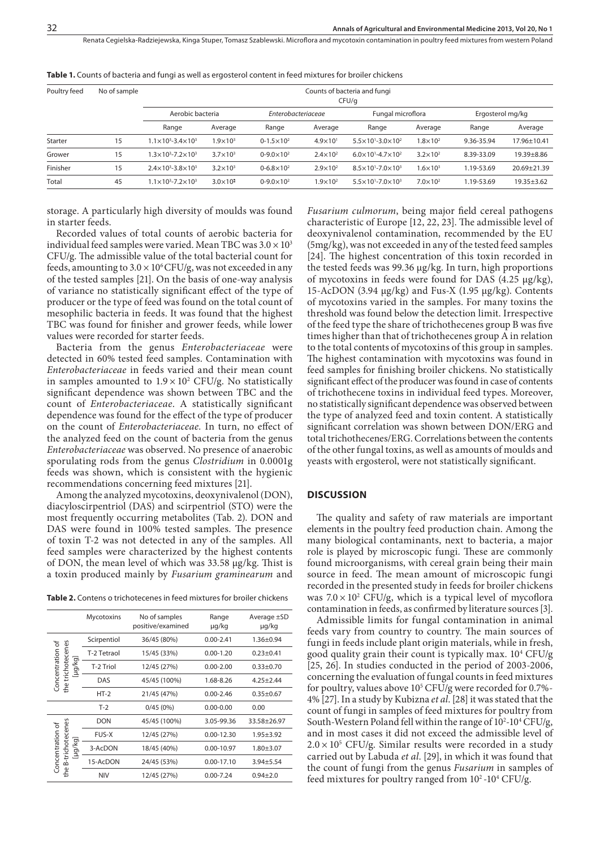| Poultry feed<br>No of sample | Counts of bacteria and fungi<br>CFU/q   |                     |                       |                     |                                         |                     |                  |                  |  |
|------------------------------|-----------------------------------------|---------------------|-----------------------|---------------------|-----------------------------------------|---------------------|------------------|------------------|--|
|                              | Aerobic bacteria                        |                     | Enterobacteriaceae    |                     | Fungal microflora                       |                     | Ergosterol mg/kg |                  |  |
|                              | Range                                   | Average             | Range                 | Average             | Range                                   | Average             | Range            | Average          |  |
| 15                           | $1.1 \times 10^{3} - 3.4 \times 10^{3}$ | $1.9 \times 10^{3}$ | $0 - 1.5 \times 10^2$ | $4.9 \times 10^{1}$ | $5.5 \times 10^{1} - 3.0 \times 10^{2}$ | $1.8 \times 10^{2}$ | 9.36-35.94       | 17.96±10.41      |  |
| 15                           | $1.3 \times 10^3 - 7.2 \times 10^3$     | $3.7 \times 10^{3}$ | $0-9.0 \times 10^2$   | $2.4 \times 10^{2}$ | $6.0 \times 10^{1} - 4.7 \times 10^{2}$ | $3.2\times10^2$     | 8.39-33.09       | 19.39±8.86       |  |
| 15                           | $2.4 \times 10^{3} - 3.8 \times 10^{3}$ | $3.2\times10^3$     | $0 - 6.8 \times 10^2$ | $2.9 \times 10^{2}$ | $8.5 \times 10^{1} - 7.0 \times 10^{3}$ | $1.6 \times 10^{3}$ | 1.19-53.69       | 20.69±21.39      |  |
| 45                           | $1.1\times10^{3} - 7.2\times10^{3}$     | $3.0 \times 10^{3}$ | $0 - 9.0 \times 10^2$ | $1.9 \times 10^{2}$ | $5.5 \times 10^{1} - 7.0 \times 10^{3}$ | $7.0\times10^2$     | 1.19-53.69       | $19.35 \pm 3.62$ |  |
|                              |                                         |                     |                       |                     |                                         |                     |                  |                  |  |

**Table 1.** Counts of bacteria and fungi as well as ergosterol content in feed mixtures for broiler chickens

storage. A particularly high diversity of moulds was found in starter feeds.

Recorded values of total counts of aerobic bacteria for individual feed samples were varied. Mean TBC was  $3.0 \times 10^3$ CFU/g. The admissible value of the total bacterial count for feeds, amounting to  $3.0 \times 10^6$  CFU/g, was not exceeded in any of the tested samples [21]. On the basis of one-way analysis of variance no statistically significant effect of the type of producer or the type of feed was found on the total count of mesophilic bacteria in feeds. It was found that the highest TBC was found for finisher and grower feeds, while lower values were recorded for starter feeds.

Bacteria from the genus *Enterobacteriaceae* were detected in 60% tested feed samples. Contamination with *Enterobacteriaceae* in feeds varied and their mean count in samples amounted to  $1.9 \times 10^2$  CFU/g. No statistically significant dependence was shown between TBC and the count of *Enterobacteriaceae*. A statistically significant dependence was found for the effect of the type of producer on the count of *Enterobacteriaceae.* In turn, no effect of the analyzed feed on the count of bacteria from the genus *Enterobacteriaceae* was observed. No presence of anaerobic sporulating rods from the genus *Clostridium* in 0.0001g feeds was shown, which is consistent with the hygienic recommendations concerning feed mixtures [21].

Among the analyzed mycotoxins, deoxynivalenol (DON), diacyloscirpentriol (DAS) and scirpentriol (STO) were the most frequently occurring metabolites (Tab. 2). DON and DAS were found in 100% tested samples. The presence of toxin T-2 was not detected in any of the samples. All feed samples were characterized by the highest contents of DON, the mean level of which was 33.58 µg/kg. Thist is a toxin produced mainly by *Fusarium graminearum* and

**Table 2.** Contens o trichotecenes in feed mixtures for broiler chickens

|                                                       | Mycotoxins   | No of samples<br>positive/examined | Range<br>µg/kg | Average ±SD<br>µg/kg |
|-------------------------------------------------------|--------------|------------------------------------|----------------|----------------------|
| the trichotecenes<br>Concentration of<br>[µg/kg]      | Scirpentiol  | 36/45 (80%)                        | $0.00 - 2.41$  | $1.36 \pm 0.94$      |
|                                                       | T-2 Tetraol  | 15/45 (33%)                        | $0.00 - 1.20$  | $0.23 \pm 0.41$      |
|                                                       | T-2 Triol    | 12/45 (27%)                        | $0.00 - 2.00$  | $0.33 \pm 0.70$      |
|                                                       | DAS          | 45/45 (100%)                       | 1.68-8.26      | $4.25 \pm 2.44$      |
|                                                       | $HT-2$       | 21/45 (47%)                        | $0.00 - 2.46$  | $0.35 \pm 0.67$      |
|                                                       | $T-2$        | 0/45(0%)                           | $0.00 - 0.00$  | 0.00                 |
| B-trichotecenes<br>Concentration of<br>[µg/kg]<br>the | <b>DON</b>   | 45/45 (100%)                       | 3.05-99.36     | 33.58±26.97          |
|                                                       | <b>FUS-X</b> | 12/45 (27%)                        | $0.00 - 12.30$ | $1.95 \pm 3.92$      |
|                                                       | 3-AcDON      | 18/45 (40%)                        | 0.00-10.97     | $1.80 + 3.07$        |
|                                                       | 15-AcDON     | 24/45 (53%)                        | $0.00 - 17.10$ | $3.94 + 5.54$        |
|                                                       | <b>NIV</b>   | 12/45 (27%)                        | $0.00 - 7.24$  | $0.94 + 2.0$         |

*Fusarium culmorum*, being major field cereal pathogens characteristic of Europe [12, 22, 23]. The admissible level of deoxynivalenol contamination, recommended by the EU (5mg/kg), was not exceeded in any of the tested feed samples [24]. The highest concentration of this toxin recorded in the tested feeds was 99.36 µg/kg. In turn, high proportions of mycotoxins in feeds were found for DAS  $(4.25 \mu g/kg)$ , 15-AcDON (3.94 µg/kg) and Fus-X (1.95 µg/kg). Contents of mycotoxins varied in the samples. For many toxins the threshold was found below the detection limit. Irrespective of the feed type the share of trichothecenes group B was five times higher than that of trichothecenes group A in relation to the total contents of mycotoxins of this group in samples. The highest contamination with mycotoxins was found in feed samples for finishing broiler chickens. No statistically significant effect of the producer was found in case of contents of trichothecene toxins in individual feed types. Moreover, no statistically significant dependence was observed between the type of analyzed feed and toxin content. A statistically significant correlation was shown between DON/ERG and total trichothecenes/ERG. Correlations between the contents of the other fungal toxins, as well as amounts of moulds and yeasts with ergosterol, were not statistically significant.

### **DISCUSSION**

The quality and safety of raw materials are important elements in the poultry feed production chain. Among the many biological contaminants, next to bacteria, a major role is played by microscopic fungi. These are commonly found microorganisms, with cereal grain being their main source in feed. The mean amount of microscopic fungi recorded in the presented study in feeds for broiler chickens was  $7.0 \times 10^2$  CFU/g, which is a typical level of mycoflora contamination in feeds, as confirmed by literature sources [3].

Admissible limits for fungal contamination in animal feeds vary from country to country. The main sources of fungi in feeds include plant origin materials, while in fresh, good quality grain their count is typically max. 104 CFU/g [25, 26]. In studies conducted in the period of 2003-2006, concerning the evaluation of fungal counts in feed mixtures for poultry, values above 10<sup>5</sup> CFU/g were recorded for 0.7%-4% [27]. In a study by Kubizna *et al*. [28] it was stated that the count of fungi in samples of feed mixtures for poultry from South-Western Poland fell within the range of 10<sup>2</sup>-10<sup>4</sup> CFU/g, and in most cases it did not exceed the admissible level of  $2.0 \times 10^5$  CFU/g. Similar results were recorded in a study carried out by Labuda *et al*. [29], in which it was found that the count of fungi from the genus *Fusarium* in samples of feed mixtures for poultry ranged from  $10^2$ -10<sup>4</sup> CFU/g.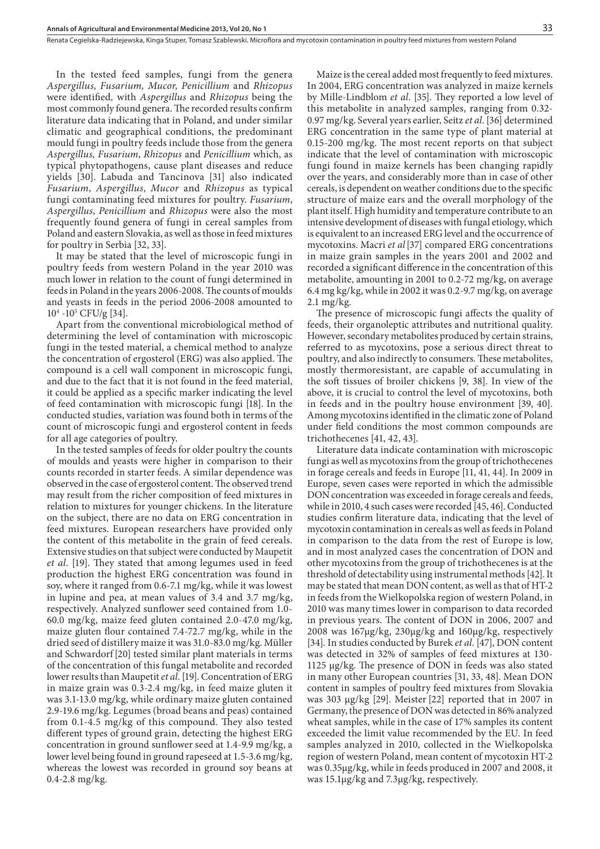In the tested feed samples, fungi from the genera *Aspergillus, Fusarium, Mucor, Penicillium* and *Rhizopus*  were identified*,* with *Aspergillus* and *Rhizopus* being the most commonly found genera. The recorded results confirm literature data indicating that in Poland, and under similar climatic and geographical conditions, the predominant mould fungi in poultry feeds include those from the genera *Aspergillus, Fusarium*, *Rhizopus* and *Penicillium* which, as typical phytopathogens, cause plant diseases and reduce yields [30]. Labuda and Tancinova [31] also indicated *Fusarium*, *Aspergillus*, *Mucor* and *Rhizopus* as typical fungi contaminating feed mixtures for poultry. *Fusarium*, *Aspergillus*, *Penicillium* and *Rhizopus* were also the most frequently found genera of fungi in cereal samples from Poland and eastern Slovakia, as well as those in feed mixtures for poultry in Serbia [32, 33].

It may be stated that the level of microscopic fungi in poultry feeds from western Poland in the year 2010 was much lower in relation to the count of fungi determined in feeds in Poland in the years 2006-2008. The counts of moulds and yeasts in feeds in the period 2006-2008 amounted to  $10^4 - 10^5$  CFU/g [34].

Apart from the conventional microbiological method of determining the level of contamination with microscopic fungi in the tested material, a chemical method to analyze the concentration of ergosterol (ERG) was also applied. The compound is a cell wall component in microscopic fungi, and due to the fact that it is not found in the feed material, it could be applied as a specific marker indicating the level of feed contamination with microscopic fungi [18]. In the conducted studies, variation was found both in terms of the count of microscopic fungi and ergosterol content in feeds for all age categories of poultry.

In the tested samples of feeds for older poultry the counts of moulds and yeasts were higher in comparison to their counts recorded in starter feeds. A similar dependence was observed in the case of ergosterol content. The observed trend may result from the richer composition of feed mixtures in relation to mixtures for younger chickens. In the literature on the subject, there are no data on ERG concentration in feed mixtures. European researchers have provided only the content of this metabolite in the grain of feed cereals. Extensive studies on that subject were conducted by Maupetit *et al*. [19]. They stated that among legumes used in feed production the highest ERG concentration was found in soy, where it ranged from 0.6-7.1 mg/kg, while it was lowest in lupine and pea, at mean values of 3.4 and 3.7 mg/kg, respectively. Analyzed sunflower seed contained from 1.0- 60.0 mg/kg, maize feed gluten contained 2.0-47.0 mg/kg, maize gluten flour contained 7.4-72.7 mg/kg, while in the dried seed of distillery maize it was 31.0-83.0 mg/kg. Müller and Schwardorf[20] tested similar plant materials in terms of the concentration of this fungal metabolite and recorded lower results than Maupetit *et al*. [19]. Concentration of ERG in maize grain was 0.3-2.4 mg/kg, in feed maize gluten it was 3.1-13.0 mg/kg, while ordinary maize gluten contained 2.9-19.6 mg/kg. Legumes (broad beans and peas) contained from 0.1-4.5 mg/kg of this compound. They also tested different types of ground grain, detecting the highest ERG concentration in ground sunflower seed at 1.4-9.9 mg/kg, a lower level being found in ground rapeseed at 1.5-3.6 mg/kg, whereas the lowest was recorded in ground soy beans at 0.4-2.8 mg/kg.

Maize is the cereal added most frequently to feed mixtures. In 2004, ERG concentration was analyzed in maize kernels by Mille-Lindblom *et al*. [35]. They reported a low level of this metabolite in analyzed samples, ranging from 0.32- 0.97 mg/kg. Several years earlier, Seitz *et al*. [36] determined ERG concentration in the same type of plant material at 0.15-200 mg/kg. The most recent reports on that subject indicate that the level of contamination with microscopic fungi found in maize kernels has been changing rapidly over the years, and considerably more than in case of other cereals, is dependent on weather conditions due to the specific structure of maize ears and the overall morphology of the plant itself. High humidity and temperature contribute to an intensive development of diseases with fungal etiology, which is equivalent to an increased ERG level and the occurrence of mycotoxins. Macri *et al*[37] compared ERG concentrations in maize grain samples in the years 2001 and 2002 and recorded a significant difference in the concentration of this metabolite, amounting in 2001 to 0.2-72 mg/kg, on average 6.4 mg kg/kg, while in 2002 it was 0.2-9.7 mg/kg, on average 2.1 mg/kg.

The presence of microscopic fungi affects the quality of feeds, their organoleptic attributes and nutritional quality. However, secondary metabolites produced by certain strains, referred to as mycotoxins, pose a serious direct threat to poultry, and also indirectly to consumers. These metabolites, mostly thermoresistant, are capable of accumulating in the soft tissues of broiler chickens [9, 38]. In view of the above, it is crucial to control the level of mycotoxins, both in feeds and in the poultry house environment [39, 40]. Among mycotoxins identified in the climatic zone of Poland under field conditions the most common compounds are trichothecenes [41, 42, 43].

Literature data indicate contamination with microscopic fungi as well as mycotoxins from the group of trichothecenes in forage cereals and feeds in Europe [11, 41, 44]. In 2009 in Europe, seven cases were reported in which the admissible DON concentration was exceeded in forage cereals and feeds, while in 2010, 4 such cases were recorded [45, 46]. Conducted studies confirm literature data, indicating that the level of mycotoxin contamination in cereals as well as feeds in Poland in comparison to the data from the rest of Europe is low, and in most analyzed cases the concentration of DON and other mycotoxins from the group of trichothecenes is at the threshold of detectability using instrumental methods [42]. It may be stated that mean DON content, as well as that of HT-2 in feeds from the Wielkopolska region of western Poland, in 2010 was many times lower in comparison to data recorded in previous years. The content of DON in 2006, 2007 and 2008 was 167µg/kg, 230µg/kg and 160µg/kg, respectively [34]. In studies conducted by Burek *et al*. [47], DON content was detected in 32% of samples of feed mixtures at 130- 1125 µg/kg. The presence of DON in feeds was also stated in many other European countries [31, 33, 48]. Mean DON content in samples of poultry feed mixtures from Slovakia was 303 µg/kg [29]. Meister [22] reported that in 2007 in Germany, the presence of DON was detected in 86% analyzed wheat samples, while in the case of 17% samples its content exceeded the limit value recommended by the EU. In feed samples analyzed in 2010, collected in the Wielkopolska region of western Poland, mean content of mycotoxin HT-2 was 0.35µg/kg, while in feeds produced in 2007 and 2008, it was 15.1µg/kg and 7.3µg/kg, respectively.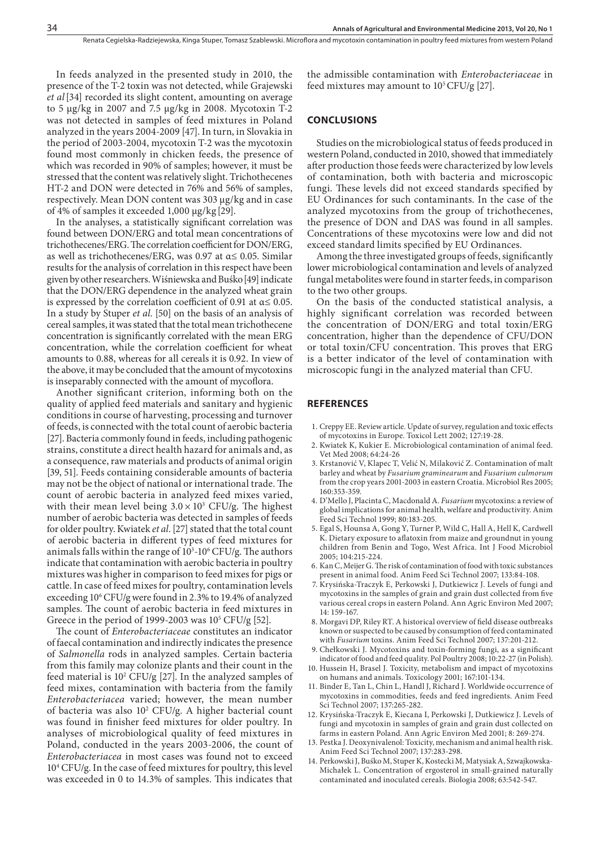In feeds analyzed in the presented study in 2010, the presence of the T-2 toxin was not detected, while Grajewski *et al*[34] recorded its slight content, amounting on average to 5 µg/kg in 2007 and 7.5 µg/kg in 2008. Mycotoxin T-2 was not detected in samples of feed mixtures in Poland analyzed in the years 2004-2009 [47]. In turn, in Slovakia in the period of 2003-2004, mycotoxin T-2 was the mycotoxin found most commonly in chicken feeds, the presence of which was recorded in 90% of samples; however, it must be stressed that the content was relatively slight. Trichothecenes HT-2 and DON were detected in 76% and 56% of samples, respectively. Mean DON content was 303 µg/kg and in case of 4% of samples it exceeded  $1,000 \mu g/kg$  [29].

In the analyses, a statistically significant correlation was found between DON/ERG and total mean concentrations of trichothecenes/ERG. The correlation coefficient for DON/ERG, as well as trichothecenes/ERG, was 0.97 at  $\alpha \leq 0.05$ . Similar results for the analysis of correlation in this respect have been given by other researchers. Wiśniewska and Buśko[49] indicate that the DON/ERG dependence in the analyzed wheat grain is expressed by the correlation coefficient of 0.91 at  $\alpha \le 0.05$ . In a study by Stuper *et al*. [50] on the basis of an analysis of cereal samples, it was stated that the total mean trichothecene concentration is significantly correlated with the mean ERG concentration, while the correlation coefficient for wheat amounts to 0.88, whereas for all cereals it is 0.92. In view of the above, it may be concluded that the amount of mycotoxins is inseparably connected with the amount of mycoflora.

Another significant criterion, informing both on the quality of applied feed materials and sanitary and hygienic conditions in course of harvesting, processing and turnover of feeds, is connected with the total count of aerobic bacteria [27]. Bacteria commonly found in feeds, including pathogenic strains, constitute a direct health hazard for animals and, as a consequence, raw materials and products of animal origin [39, 51]. Feeds containing considerable amounts of bacteria may not be the object of national or international trade. The count of aerobic bacteria in analyzed feed mixes varied, with their mean level being  $3.0 \times 10^3$  CFU/g. The highest number of aerobic bacteria was detected in samples of feeds for older poultry. Kwiatek *et al*. [27] stated that the total count of aerobic bacteria in different types of feed mixtures for animals falls within the range of  $10^3$ -10 $^6$  CFU/g. The authors indicate that contamination with aerobic bacteria in poultry mixtures was higher in comparison to feed mixes for pigs or cattle. In case of feed mixes for poultry, contamination levels exceeding 106 CFU/g were found in 2.3% to 19.4% of analyzed samples. The count of aerobic bacteria in feed mixtures in Greece in the period of 1999-2003 was  $10^5$  CFU/g [52].

The count of *Enterobacteriaceae* constitutes an indicator of faecal contamination and indirectly indicates the presence of *Salmonella* rods in analyzed samples. Certain bacteria from this family may colonize plants and their count in the feed material is  $10^2$  CFU/g [27]. In the analyzed samples of feed mixes, contamination with bacteria from the family *Enterobacteriacea* varied; however, the mean number of bacteria was also 10<sup>2</sup> CFU/g. A higher bacterial count was found in finisher feed mixtures for older poultry. In analyses of microbiological quality of feed mixtures in Poland, conducted in the years 2003-2006, the count of *Enterobacteriacea* in most cases was found not to exceed 104 CFU/g. In the case of feed mixtures for poultry, this level was exceeded in 0 to 14.3% of samples. This indicates that

the admissible contamination with *Enterobacteriaceae* in feed mixtures may amount to  $10^5$  CFU/g [27].

#### **CONCLUSIONS**

Studies on the microbiological status of feeds produced in western Poland, conducted in 2010, showed that immediately after production those feeds were characterized by low levels of contamination, both with bacteria and microscopic fungi. These levels did not exceed standards specified by EU Ordinances for such contaminants. In the case of the analyzed mycotoxins from the group of trichothecenes, the presence of DON and DAS was found in all samples. Concentrations of these mycotoxins were low and did not exceed standard limits specified by EU Ordinances.

Among the three investigated groups of feeds, significantly lower microbiological contamination and levels of analyzed fungal metabolites were found in starter feeds, in comparison to the two other groups.

On the basis of the conducted statistical analysis, a highly significant correlation was recorded between the concentration of DON/ERG and total toxin/ERG concentration, higher than the dependence of CFU/DON or total toxin/CFU concentration. This proves that ERG is a better indicator of the level of contamination with microscopic fungi in the analyzed material than CFU.

#### **REFERENCES**

- 1. Creppy EE. Review article. Update of survey, regulation and toxic effects of mycotoxins in Europe. Toxicol Lett 2002; 127:19-28.
- 2. Kwiatek K, Kukier E. Microbiological contamination of animal feed. Vet Med 2008; 64:24-26
- 3. Krstanović V, Klapec T, Velić N, Milaković Z. Contamination of malt barley and wheat by *Fusarium graminearum* and *Fusarium culmorum* from the crop years 2001-2003 in eastern Croatia. Microbiol Res 2005; 160:353-359.
- 4. D'Mello J, Placinta C, Macdonald A. *Fusarium* mycotoxins: a review of global implications for animal health, welfare and productivity. Anim Feed Sci Technol 1999; 80:183-205.
- 5. Egal S, Hounsa A, Gong Y, Turner P, Wild C, Hall A, Hell K, Cardwell K. Dietary exposure to aflatoxin from maize and groundnut in young children from Benin and Togo, West Africa. Int J Food Microbiol 2005; 104:215-224.
- 6. Kan C, Meijer G. The risk of contamination of food with toxic substances present in animal food. Anim Feed Sci Technol 2007; 133:84-108.
- 7. Krysińska-Traczyk E, Perkowski J, Dutkiewicz J. Levels of fungi and mycotoxins in the samples of grain and grain dust collected from five various cereal crops in eastern Poland. Ann Agric Environ Med 2007; 14: 159-167.
- 8. Morgavi DP, Riley RT. A historical overview of field disease outbreaks known or suspected to be caused by consumption of feed contaminated with *Fusarium* toxins. Anim Feed Sci Technol 2007; 137:201-212.
- 9. Chełkowski J. Mycotoxins and toxin-forming fungi, as a significant indicator of food and feed quality. Pol Poultry 2008; 10:22-27 (in Polish).
- 10. Hussein H, Brasel J. Toxicity, metabolism and impact of mycotoxins on humans and animals. Toxicology 2001; 167:101-134.
- 11. Binder E, Tan L, Chin L, Handl J, Richard J. Worldwide occurrence of mycotoxins in commodities, feeds and feed ingredients. Anim Feed Sci Technol 2007; 137:265-282.
- 12. Krysińska-Traczyk E, Kiecana I, Perkowski J, Dutkiewicz J. Levels of fungi and mycotoxin in samples of grain and grain dust collected on farms in eastern Poland. Ann Agric Environ Med 2001; 8: 269-274.
- 13. Pestka J. Deoxynivalenol: Toxicity, mechanism and animal health risk. Anim Feed Sci Technol 2007; 137:283-298.
- 14. Perkowski J, Buśko M, Stuper K, Kostecki M, Matysiak A, Szwajkowska-Michałek L. Concentration of ergosterol in small-grained naturally contaminated and inoculated cereals. Biologia 2008; 63:542-547.